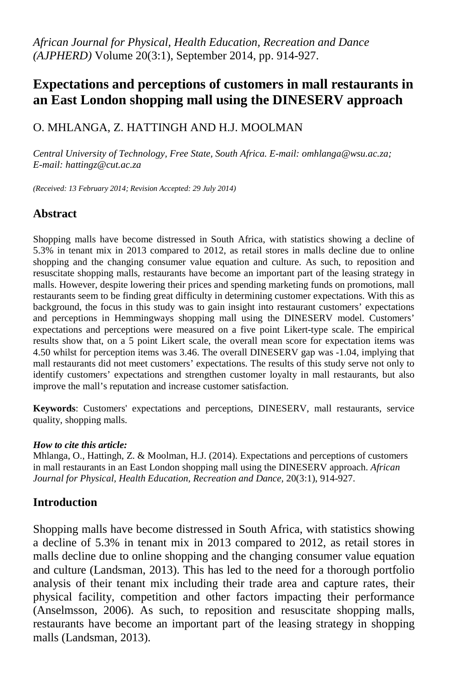# **Expectations and perceptions of customers in mall restaurants in an East London shopping mall using the DINESERV approach**

### O. MHLANGA, Z. HATTINGH AND H.J. MOOLMAN

*Central University of Technology, Free State, South Africa. E-mail[: omhlanga@wsu.ac.za;](mailto:omhlanga@wsu.ac.za) E-mail: hattingz@cut.ac.za*

*(Received: 13 February 2014; Revision Accepted: 29 July 2014)*

### **Abstract**

Shopping malls have become distressed in South Africa, with statistics showing a decline of 5.3% in tenant mix in 2013 compared to 2012, as retail stores in malls decline due to online shopping and the changing consumer value equation and culture. As such, to reposition and resuscitate shopping malls, restaurants have become an important part of the leasing strategy in malls. However, despite lowering their prices and spending marketing funds on promotions, mall restaurants seem to be finding great difficulty in determining customer expectations. With this as background, the focus in this study was to gain insight into restaurant customers' expectations and perceptions in Hemmingways shopping mall using the DINESERV model. Customers' expectations and perceptions were measured on a five point Likert-type scale. The empirical results show that, on a 5 point Likert scale, the overall mean score for expectation items was 4.50 whilst for perception items was 3.46. The overall DINESERV gap was -1.04, implying that mall restaurants did not meet customers' expectations. The results of this study serve not only to identify customers' expectations and strengthen customer loyalty in mall restaurants, but also improve the mall's reputation and increase customer satisfaction.

**Keywords**: Customers' expectations and perceptions, DINESERV, mall restaurants, service quality, shopping malls.

#### *How to cite this article:*

Mhlanga, O., Hattingh, Z. & Moolman, H.J. (2014). Expectations and perceptions of customers in mall restaurants in an East London shopping mall using the DINESERV approach. *African Journal for Physical, Health Education, Recreation and Dance,* 20(3:1), 914-927.

#### **Introduction**

Shopping malls have become distressed in South Africa, with statistics showing a decline of 5.3% in tenant mix in 2013 compared to 2012, as retail stores in malls decline due to online shopping and the changing consumer value equation and culture (Landsman, 2013). This has led to the need for a thorough portfolio analysis of their tenant mix including their trade area and capture rates, their physical facility, competition and other factors impacting their performance (Anselmsson, 2006). As such, to reposition and resuscitate shopping malls, restaurants have become an important part of the leasing strategy in shopping malls (Landsman, 2013).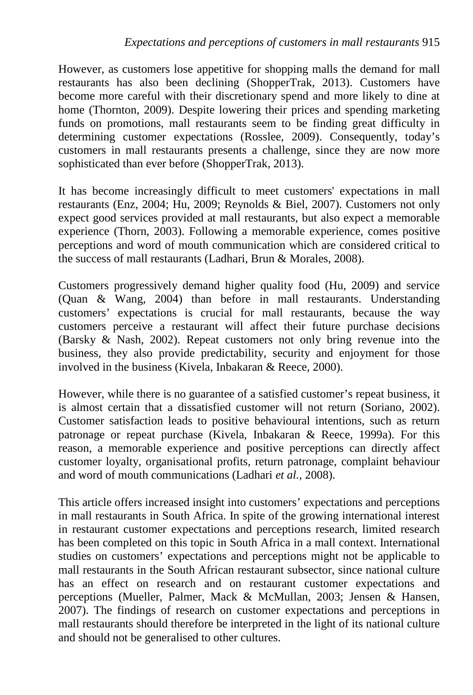However, as customers lose appetitive for shopping malls the demand for mall restaurants has also been declining (ShopperTrak, 2013). Customers have become more careful with their discretionary spend and more likely to dine at home (Thornton, 2009). Despite lowering their prices and spending marketing funds on promotions, mall restaurants seem to be finding great difficulty in determining customer expectations (Rosslee, 2009). Consequently, today's customers in mall restaurants presents a challenge, since they are now more sophisticated than ever before (ShopperTrak, 2013).

It has become increasingly difficult to meet customers' expectations in mall restaurants (Enz, 2004; Hu, 2009; Reynolds & Biel, 2007). Customers not only expect good services provided at mall restaurants, but also expect a memorable experience (Thorn, 2003). Following a memorable experience, comes positive perceptions and word of mouth communication which are considered critical to the success of mall restaurants (Ladhari, Brun & Morales, 2008).

Customers progressively demand higher quality food (Hu, 2009) and service (Quan & Wang, 2004) than before in mall restaurants. Understanding customers' expectations is crucial for mall restaurants, because the way customers perceive a restaurant will affect their future purchase decisions (Barsky & Nash, 2002). Repeat customers not only bring revenue into the business, they also provide predictability, security and enjoyment for those involved in the business (Kivela, Inbakaran & Reece, 2000).

However, while there is no guarantee of a satisfied customer's repeat business, it is almost certain that a dissatisfied customer will not return (Soriano, 2002). Customer satisfaction leads to positive behavioural intentions, such as return patronage or repeat purchase (Kivela, Inbakaran & Reece*,* 1999a). For this reason, a memorable experience and positive perceptions can directly affect customer loyalty, organisational profits, return patronage, complaint behaviour and word of mouth communications (Ladhari *et al.,* 2008).

This article offers increased insight into customers' expectations and perceptions in mall restaurants in South Africa. In spite of the growing international interest in restaurant customer expectations and perceptions research, limited research has been completed on this topic in South Africa in a mall context. International studies on customers' expectations and perceptions might not be applicable to mall restaurants in the South African restaurant subsector, since national culture has an effect on research and on restaurant customer expectations and perceptions (Mueller, Palmer, Mack & McMullan, 2003; Jensen & Hansen, 2007). The findings of research on customer expectations and perceptions in mall restaurants should therefore be interpreted in the light of its national culture and should not be generalised to other cultures.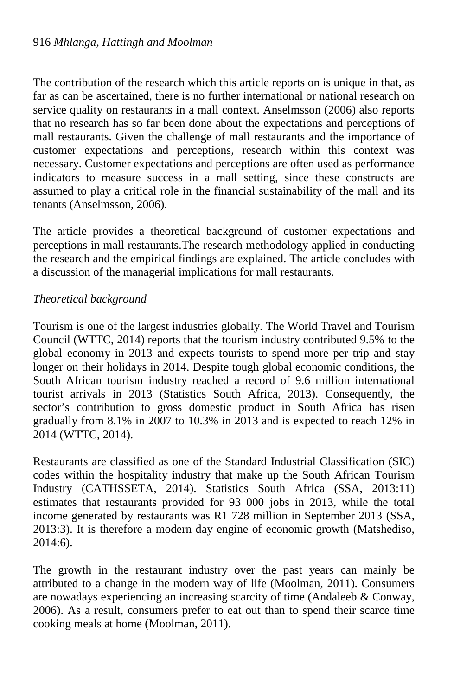The contribution of the research which this article reports on is unique in that, as far as can be ascertained, there is no further international or national research on service quality on restaurants in a mall context. Anselmsson (2006) also reports that no research has so far been done about the expectations and perceptions of mall restaurants. Given the challenge of mall restaurants and the importance of customer expectations and perceptions, research within this context was necessary. Customer expectations and perceptions are often used as performance indicators to measure success in a mall setting, since these constructs are assumed to play a critical role in the financial sustainability of the mall and its tenants (Anselmsson, 2006).

The article provides a theoretical background of customer expectations and perceptions in mall restaurants.The research methodology applied in conducting the research and the empirical findings are explained. The article concludes with a discussion of the managerial implications for mall restaurants.

#### *Theoretical background*

Tourism is one of the largest industries globally. The World Travel and Tourism Council (WTTC, 2014) reports that the tourism industry contributed 9.5% to the global economy in 2013 and expects tourists to spend more per trip and stay longer on their holidays in 2014. Despite tough global economic conditions, the South African tourism industry reached a record of 9.6 million international tourist arrivals in 2013 (Statistics South Africa, 2013). Consequently, the sector's contribution to gross domestic product in South Africa has risen gradually from 8.1% in 2007 to 10.3% in 2013 and is expected to reach 12% in 2014 (WTTC, 2014).

Restaurants are classified as one of the Standard Industrial Classification (SIC) codes within the hospitality industry that make up the South African Tourism Industry (CATHSSETA, 2014). Statistics South Africa (SSA, 2013:11) estimates that restaurants provided for 93 000 jobs in 2013, while the total income generated by restaurants was R1 728 million in September 2013 (SSA, 2013:3). It is therefore a modern day engine of economic growth (Matshediso, 2014:6).

The growth in the restaurant industry over the past years can mainly be attributed to a change in the modern way of life (Moolman, 2011). Consumers are nowadays experiencing an increasing scarcity of time (Andaleeb & Conway, 2006). As a result, consumers prefer to eat out than to spend their scarce time cooking meals at home (Moolman, 2011).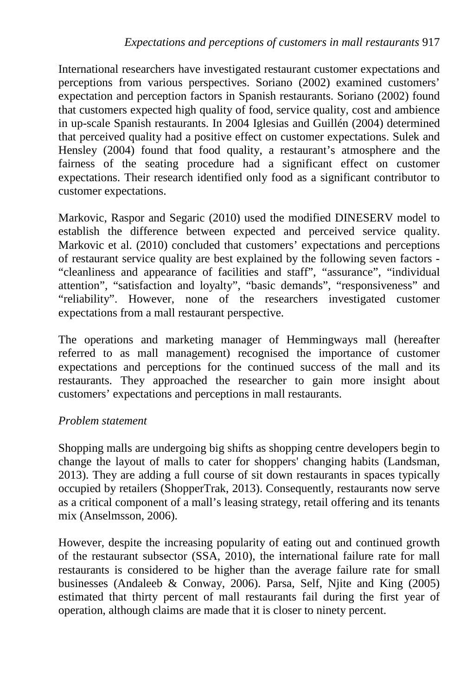International researchers have investigated restaurant customer expectations and perceptions from various perspectives. Soriano (2002) examined customers' expectation and perception factors in Spanish restaurants. Soriano (2002) found that customers expected high quality of food, service quality, cost and ambience in up-scale Spanish restaurants. In 2004 Iglesias and Guillén (2004) determined that perceived quality had a positive effect on customer expectations. Sulek and Hensley (2004) found that food quality, a restaurant's atmosphere and the fairness of the seating procedure had a significant effect on customer expectations. Their research identified only food as a significant contributor to customer expectations.

Markovic, Raspor and Segaric (2010) used the modified DINESERV model to establish the difference between expected and perceived service quality. Markovic et al. (2010) concluded that customers' expectations and perceptions of restaurant service quality are best explained by the following seven factors - "cleanliness and appearance of facilities and staff", "assurance", "individual attention", "satisfaction and loyalty", "basic demands", "responsiveness" and "reliability". However, none of the researchers investigated customer expectations from a mall restaurant perspective.

The operations and marketing manager of Hemmingways mall (hereafter referred to as mall management) recognised the importance of customer expectations and perceptions for the continued success of the mall and its restaurants. They approached the researcher to gain more insight about customers' expectations and perceptions in mall restaurants.

### *Problem statement*

Shopping malls are undergoing big shifts as shopping centre developers begin to change the layout of malls to cater for shoppers' changing habits (Landsman, 2013). They are adding a full course of sit down restaurants in spaces typically occupied by retailers (ShopperTrak, 2013). Consequently, restaurants now serve as a critical component of a mall's leasing strategy, retail offering and its tenants mix (Anselmsson, 2006).

However, despite the increasing popularity of eating out and continued growth of the restaurant subsector (SSA, 2010), the international failure rate for mall restaurants is considered to be higher than the average failure rate for small businesses (Andaleeb & Conway, 2006). Parsa, Self, Njite and King (2005) estimated that thirty percent of mall restaurants fail during the first year of operation, although claims are made that it is closer to ninety percent.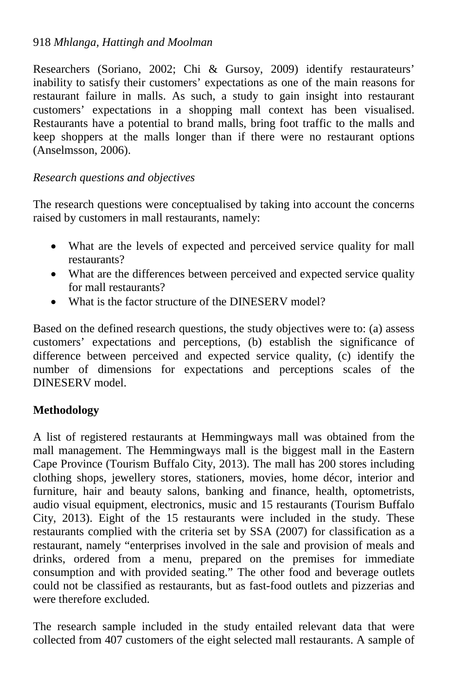Researchers (Soriano, 2002; Chi & Gursoy, 2009) identify restaurateurs' inability to satisfy their customers' expectations as one of the main reasons for restaurant failure in malls. As such, a study to gain insight into restaurant customers' expectations in a shopping mall context has been visualised. Restaurants have a potential to brand malls, bring foot traffic to the malls and keep shoppers at the malls longer than if there were no restaurant options (Anselmsson, 2006).

#### *Research questions and objectives*

The research questions were conceptualised by taking into account the concerns raised by customers in mall restaurants, namely:

- What are the levels of expected and perceived service quality for mall restaurants?
- What are the differences between perceived and expected service quality for mall restaurants?
- What is the factor structure of the DINESERV model?

Based on the defined research questions, the study objectives were to: (a) assess customers' expectations and perceptions, (b) establish the significance of difference between perceived and expected service quality, (c) identify the number of dimensions for expectations and perceptions scales of the DINESERV model.

### **Methodology**

A list of registered restaurants at Hemmingways mall was obtained from the mall management. The Hemmingways mall is the biggest mall in the Eastern Cape Province (Tourism Buffalo City, 2013). The mall has 200 stores including clothing shops, jewellery stores, stationers, movies, home décor, interior and furniture, hair and beauty salons, banking and finance, health, optometrists, audio visual equipment, electronics, music and 15 restaurants (Tourism Buffalo City, 2013). Eight of the 15 restaurants were included in the study. These restaurants complied with the criteria set by SSA (2007) for classification as a restaurant, namely "enterprises involved in the sale and provision of meals and drinks, ordered from a menu, prepared on the premises for immediate consumption and with provided seating." The other food and beverage outlets could not be classified as restaurants, but as fast-food outlets and pizzerias and were therefore excluded.

The research sample included in the study entailed relevant data that were collected from 407 customers of the eight selected mall restaurants. A sample of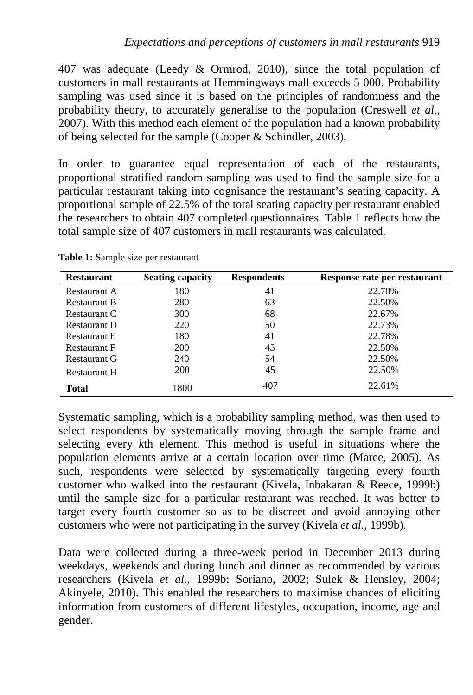407 was adequate (Leedy & Ormrod, 2010), since the total population of customers in mall restaurants at Hemmingways mall exceeds 5 000. Probability sampling was used since it is based on the principles of randomness and the probability theory, to accurately generalise to the population (Creswell *et al.*, 2007). With this method each element of the population had a known probability of being selected for the sample (Cooper & Schindler, 2003).

In order to guarantee equal representation of each of the restaurants, proportional stratified random sampling was used to find the sample size for a particular restaurant taking into cognisance the restaurant's seating capacity. A proportional sample of 22.5% of the total seating capacity per restaurant enabled the researchers to obtain 407 completed questionnaires. Table 1 reflects how the total sample size of 407 customers in mall restaurants was calculated.

| <b>Restaurant</b>   | <b>Seating capacity</b> | <b>Respondents</b> | Response rate per restaurant |
|---------------------|-------------------------|--------------------|------------------------------|
| Restaurant A        | 180                     | 41                 | 22.78%                       |
| <b>Restaurant B</b> | 280                     | 63                 | 22.50%                       |
| Restaurant C        | 300                     | 68                 | 22.67%                       |
| <b>Restaurant D</b> | 220                     | 50                 | 22.73%                       |
| Restaurant E        | 180                     | 41                 | 22.78%                       |
| <b>Restaurant F</b> | <b>200</b>              | 45                 | 22.50%                       |
| Restaurant G        | 240                     | 54                 | 22.50%                       |
| <b>Restaurant H</b> | <b>200</b>              | 45                 | 22.50%                       |
| <b>Total</b>        | 1800                    | 407                | 22.61%                       |

**Table 1:** Sample size per restaurant

Systematic sampling, which is a probability sampling method, was then used to select respondents by systematically moving through the sample frame and selecting every *k*th element. This method is useful in situations where the population elements arrive at a certain location over time (Maree, 2005). As such, respondents were selected by systematically targeting every fourth customer who walked into the restaurant (Kivela, Inbakaran & Reece*,* 1999b) until the sample size for a particular restaurant was reached. It was better to target every fourth customer so as to be discreet and avoid annoying other customers who were not participating in the survey (Kivela *et al.,* 1999b).

Data were collected during a three-week period in December 2013 during weekdays, weekends and during lunch and dinner as recommended by various researchers (Kivela *et al.,* 1999b; Soriano, 2002; Sulek & Hensley, 2004; Akinyele, 2010). This enabled the researchers to maximise chances of eliciting information from customers of different lifestyles, occupation, income, age and gender.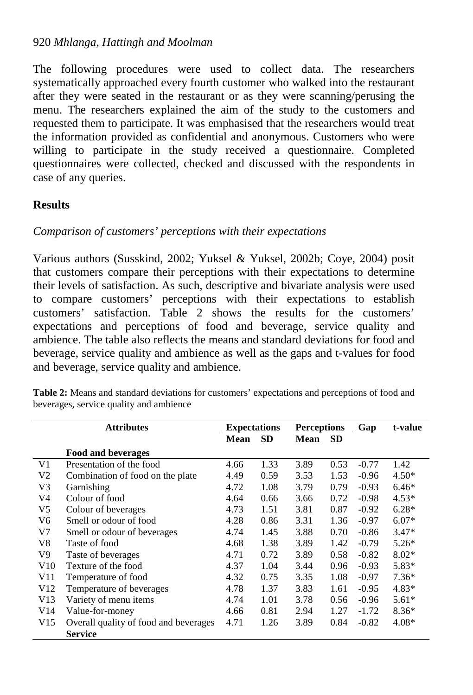The following procedures were used to collect data. The researchers systematically approached every fourth customer who walked into the restaurant after they were seated in the restaurant or as they were scanning/perusing the menu. The researchers explained the aim of the study to the customers and requested them to participate. It was emphasised that the researchers would treat the information provided as confidential and anonymous. Customers who were willing to participate in the study received a questionnaire. Completed questionnaires were collected, checked and discussed with the respondents in case of any queries.

#### **Results**

### *Comparison of customers' perceptions with their expectations*

Various authors (Susskind, 2002; Yuksel & Yuksel, 2002b; Coye, 2004) posit that customers compare their perceptions with their expectations to determine their levels of satisfaction. As such, descriptive and bivariate analysis were used to compare customers' perceptions with their expectations to establish customers' satisfaction. Table 2 shows the results for the customers' expectations and perceptions of food and beverage, service quality and ambience. The table also reflects the means and standard deviations for food and beverage, service quality and ambience as well as the gaps and t-values for food and beverage, service quality and ambience.

| <b>Attributes</b> |                                       | <b>Expectations</b> |           | <b>Perceptions</b> |           | Gap     | t-value |
|-------------------|---------------------------------------|---------------------|-----------|--------------------|-----------|---------|---------|
|                   |                                       | <b>Mean</b>         | <b>SD</b> | <b>Mean</b>        | <b>SD</b> |         |         |
|                   | Food and beverages                    |                     |           |                    |           |         |         |
| V1                | Presentation of the food              | 4.66                | 1.33      | 3.89               | 0.53      | $-0.77$ | 1.42    |
| V2                | Combination of food on the plate      | 4.49                | 0.59      | 3.53               | 1.53      | $-0.96$ | $4.50*$ |
| V3                | Garnishing                            | 4.72                | 1.08      | 3.79               | 0.79      | $-0.93$ | $6.46*$ |
| V4                | Colour of food                        | 4.64                | 0.66      | 3.66               | 0.72      | $-0.98$ | $4.53*$ |
| V5                | Colour of beverages                   | 4.73                | 1.51      | 3.81               | 0.87      | $-0.92$ | $6.28*$ |
| V6                | Smell or odour of food                | 4.28                | 0.86      | 3.31               | 1.36      | $-0.97$ | $6.07*$ |
| V7                | Smell or odour of beverages           | 4.74                | 1.45      | 3.88               | 0.70      | $-0.86$ | $3.47*$ |
| V8                | Taste of food                         | 4.68                | 1.38      | 3.89               | 1.42      | $-0.79$ | $5.26*$ |
| V9                | Taste of beverages                    | 4.71                | 0.72      | 3.89               | 0.58      | $-0.82$ | $8.02*$ |
| V10               | Texture of the food                   | 4.37                | 1.04      | 3.44               | 0.96      | $-0.93$ | 5.83*   |
| V11               | Temperature of food                   | 4.32                | 0.75      | 3.35               | 1.08      | $-0.97$ | $7.36*$ |
| V <sub>12</sub>   | Temperature of beverages              | 4.78                | 1.37      | 3.83               | 1.61      | $-0.95$ | $4.83*$ |
| V <sub>13</sub>   | Variety of menu items                 | 4.74                | 1.01      | 3.78               | 0.56      | $-0.96$ | $5.61*$ |
| V <sub>14</sub>   | Value-for-money                       | 4.66                | 0.81      | 2.94               | 1.27      | $-1.72$ | $8.36*$ |
| V15               | Overall quality of food and beverages | 4.71                | 1.26      | 3.89               | 0.84      | $-0.82$ | $4.08*$ |
|                   | <b>Service</b>                        |                     |           |                    |           |         |         |

**Table 2:** Means and standard deviations for customers' expectations and perceptions of food and beverages, service quality and ambience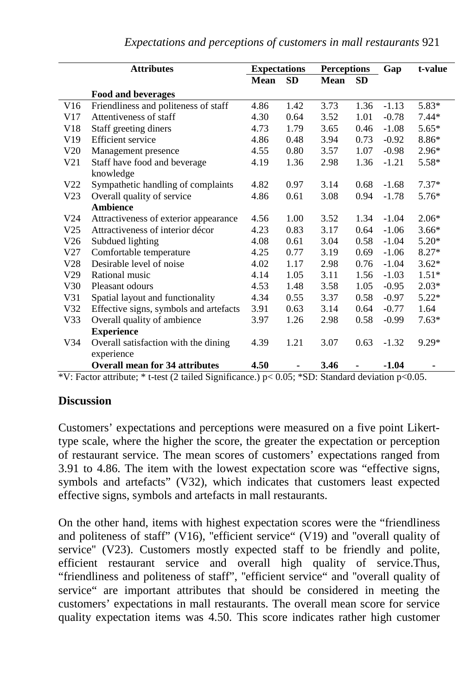| <b>Attributes</b> |                                        | <b>Expectations</b> |           | <b>Perceptions</b> |           | Gap     | t-value |
|-------------------|----------------------------------------|---------------------|-----------|--------------------|-----------|---------|---------|
|                   |                                        | <b>Mean</b>         | <b>SD</b> | <b>Mean</b>        | <b>SD</b> |         |         |
|                   | <b>Food and beverages</b>              |                     |           |                    |           |         |         |
| V16               | Friendliness and politeness of staff   | 4.86                | 1.42      | 3.73               | 1.36      | $-1.13$ | 5.83*   |
| V17               | Attentiveness of staff                 | 4.30                | 0.64      | 3.52               | 1.01      | $-0.78$ | $7.44*$ |
| V18               | Staff greeting diners                  | 4.73                | 1.79      | 3.65               | 0.46      | $-1.08$ | $5.65*$ |
| V19               | <b>Efficient</b> service               | 4.86                | 0.48      | 3.94               | 0.73      | $-0.92$ | 8.86*   |
| V20               | Management presence                    | 4.55                | 0.80      | 3.57               | 1.07      | $-0.98$ | $2.96*$ |
| V21               | Staff have food and beverage           | 4.19                | 1.36      | 2.98               | 1.36      | $-1.21$ | $5.58*$ |
|                   | knowledge                              |                     |           |                    |           |         |         |
| V <sub>22</sub>   | Sympathetic handling of complaints     | 4.82                | 0.97      | 3.14               | 0.68      | $-1.68$ | $7.37*$ |
| V <sub>23</sub>   | Overall quality of service             | 4.86                | 0.61      | 3.08               | 0.94      | $-1.78$ | $5.76*$ |
|                   | <b>Ambience</b>                        |                     |           |                    |           |         |         |
| V <sub>24</sub>   | Attractiveness of exterior appearance  | 4.56                | 1.00      | 3.52               | 1.34      | $-1.04$ | $2.06*$ |
| V25               | Attractiveness of interior décor       | 4.23                | 0.83      | 3.17               | 0.64      | $-1.06$ | $3.66*$ |
| V26               | Subdued lighting                       | 4.08                | 0.61      | 3.04               | 0.58      | $-1.04$ | $5.20*$ |
| V27               | Comfortable temperature                | 4.25                | 0.77      | 3.19               | 0.69      | $-1.06$ | $8.27*$ |
| V28               | Desirable level of noise               | 4.02                | 1.17      | 2.98               | 0.76      | $-1.04$ | $3.62*$ |
| V29               | Rational music                         | 4.14                | 1.05      | 3.11               | 1.56      | $-1.03$ | $1.51*$ |
| V30               | Pleasant odours                        | 4.53                | 1.48      | 3.58               | 1.05      | $-0.95$ | $2.03*$ |
| V31               | Spatial layout and functionality       | 4.34                | 0.55      | 3.37               | 0.58      | $-0.97$ | $5.22*$ |
| V32               | Effective signs, symbols and artefacts | 3.91                | 0.63      | 3.14               | 0.64      | $-0.77$ | 1.64    |
| V <sub>33</sub>   | Overall quality of ambience            | 3.97                | 1.26      | 2.98               | 0.58      | $-0.99$ | $7.63*$ |
|                   | <b>Experience</b>                      |                     |           |                    |           |         |         |
| V <sub>34</sub>   | Overall satisfaction with the dining   | 4.39                | 1.21      | 3.07               | 0.63      | $-1.32$ | 9.29*   |
|                   | experience                             |                     |           |                    |           |         |         |
|                   | <b>Overall mean for 34 attributes</b>  | 4.50                |           | 3.46               |           | $-1.04$ |         |

\*V: Factor attribute; \* t-test (2 tailed Significance.)  $p < 0.05$ ; \*SD: Standard deviation  $p < 0.05$ .

#### **Discussion**

Customers' expectations and perceptions were measured on a five point Likerttype scale, where the higher the score, the greater the expectation or perception of restaurant service. The mean scores of customers' expectations ranged from 3.91 to 4.86. The item with the lowest expectation score was "effective signs, symbols and artefacts" (V32), which indicates that customers least expected effective signs, symbols and artefacts in mall restaurants.

On the other hand, items with highest expectation scores were the "friendliness and politeness of staff" (V16), "efficient service" (V19) and "overall quality of service'' (V23). Customers mostly expected staff to be friendly and polite, efficient restaurant service and overall high quality of service.Thus, "friendliness and politeness of staff", ''efficient service" and ''overall quality of service" are important attributes that should be considered in meeting the customers' expectations in mall restaurants. The overall mean score for service quality expectation items was 4.50. This score indicates rather high customer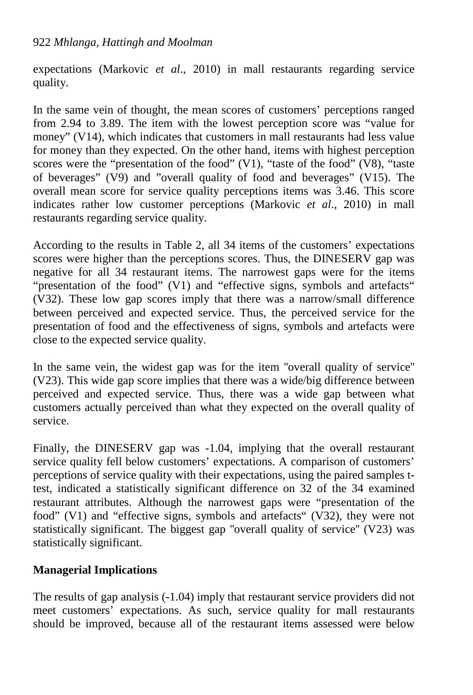expectations (Markovic *et al*., 2010) in mall restaurants regarding service quality.

In the same vein of thought, the mean scores of customers' perceptions ranged from 2.94 to 3.89. The item with the lowest perception score was "value for money" (V14), which indicates that customers in mall restaurants had less value for money than they expected. On the other hand, items with highest perception scores were the "presentation of the food" (V1), "taste of the food" (V8), "taste of beverages" (V9) and "overall quality of food and beverages" (V15). The overall mean score for service quality perceptions items was 3.46. This score indicates rather low customer perceptions (Markovic *et al*., 2010) in mall restaurants regarding service quality.

According to the results in Table 2, all 34 items of the customers' expectations scores were higher than the perceptions scores. Thus, the DINESERV gap was negative for all 34 restaurant items. The narrowest gaps were for the items "presentation of the food" (V1) and "effective signs, symbols and artefacts" (V32). These low gap scores imply that there was a narrow/small difference between perceived and expected service. Thus, the perceived service for the presentation of food and the effectiveness of signs, symbols and artefacts were close to the expected service quality.

In the same vein, the widest gap was for the item ''overall quality of service'' (V23). This wide gap score implies that there was a wide/big difference between perceived and expected service. Thus, there was a wide gap between what customers actually perceived than what they expected on the overall quality of service.

Finally, the DINESERV gap was -1.04, implying that the overall restaurant service quality fell below customers' expectations. A comparison of customers' perceptions of service quality with their expectations, using the paired samples ttest, indicated a statistically significant difference on 32 of the 34 examined restaurant attributes. Although the narrowest gaps were "presentation of the food" (V1) and "effective signs, symbols and artefacts" (V32), they were not statistically significant. The biggest gap ''overall quality of service'' (V23) was statistically significant.

# **Managerial Implications**

The results of gap analysis (-1.04) imply that restaurant service providers did not meet customers' expectations. As such, service quality for mall restaurants should be improved, because all of the restaurant items assessed were below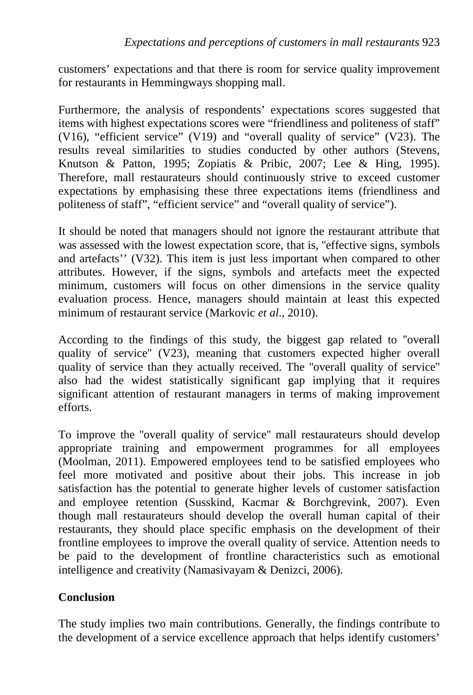customers' expectations and that there is room for service quality improvement for restaurants in Hemmingways shopping mall.

Furthermore, the analysis of respondents' expectations scores suggested that items with highest expectations scores were "friendliness and politeness of staff" (V16), "efficient service" (V19) and "overall quality of service" (V23). The results reveal similarities to studies conducted by other authors (Stevens, Knutson & Patton, 1995; Zopiatis & Pribic, 2007; Lee & Hing, 1995). Therefore, mall restaurateurs should continuously strive to exceed customer expectations by emphasising these three expectations items (friendliness and politeness of staff", "efficient service" and "overall quality of service").

It should be noted that managers should not ignore the restaurant attribute that was assessed with the lowest expectation score, that is, "effective signs, symbols and artefacts'' (V32). This item is just less important when compared to other attributes. However, if the signs, symbols and artefacts meet the expected minimum, customers will focus on other dimensions in the service quality evaluation process. Hence, managers should maintain at least this expected minimum of restaurant service (Markovic *et al*., 2010).

According to the findings of this study, the biggest gap related to ''overall quality of service'' (V23), meaning that customers expected higher overall quality of service than they actually received. The ''overall quality of service'' also had the widest statistically significant gap implying that it requires significant attention of restaurant managers in terms of making improvement efforts.

To improve the ''overall quality of service'' mall restaurateurs should develop appropriate training and empowerment programmes for all employees (Moolman, 2011). Empowered employees tend to be satisfied employees who feel more motivated and positive about their jobs. This increase in job satisfaction has the potential to generate higher levels of customer satisfaction and employee retention (Susskind, Kacmar & Borchgrevink, 2007). Even though mall restaurateurs should develop the overall human capital of their restaurants, they should place specific emphasis on the development of their frontline employees to improve the overall quality of service. Attention needs to be paid to the development of frontline characteristics such as emotional intelligence and creativity (Namasivayam & Denizci, 2006).

# **Conclusion**

The study implies two main contributions. Generally, the findings contribute to the development of a service excellence approach that helps identify customers'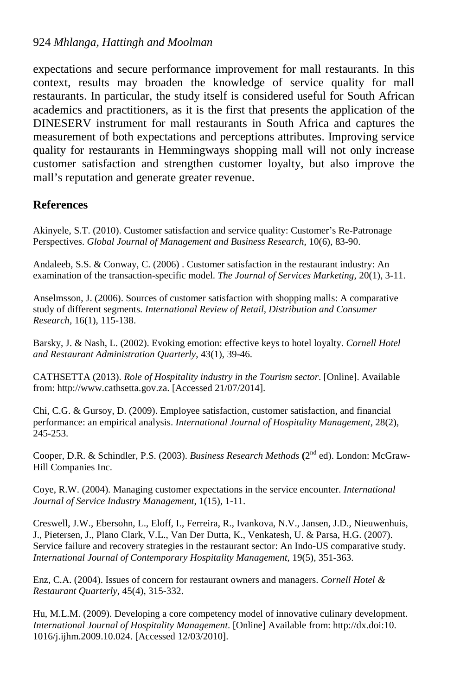expectations and secure performance improvement for mall restaurants. In this context, results may broaden the knowledge of service quality for mall restaurants. In particular, the study itself is considered useful for South African academics and practitioners, as it is the first that presents the application of the DINESERV instrument for mall restaurants in South Africa and captures the measurement of both expectations and perceptions attributes. Improving service quality for restaurants in Hemmingways shopping mall will not only increase customer satisfaction and strengthen customer loyalty, but also improve the mall's reputation and generate greater revenue.

#### **References**

Akinyele, S.T. (2010). Customer satisfaction and service quality: Customer's Re-Patronage Perspectives. *Global Journal of Management and Business Research*, 10(6), 83-90.

Andaleeb, S.S. & Conway, C. (2006) . Customer satisfaction in the restaurant industry: An examination of the transaction-specific model. *The Journal of Services Marketing*, 20(1), 3-11.

Anselmsson, J. (2006). Sources of customer satisfaction with shopping malls: A comparative study of different segments. *International Review of Retail, Distribution and Consumer Research,* 16(1), 115-138.

Barsky, J. & Nash, L. (2002). Evoking emotion: effective keys to hotel loyalty. *Cornell Hotel and Restaurant Administration Quarterly*, 43(1), 39-46.

CATHSETTA (2013). *Role of Hospitality industry in the Tourism sector*. [Online]. Available from: [http://www.cathsetta.gov.za.](http://www.cathsetta.gov.za/) [Accessed 21/07/2014].

Chi, C.G. & Gursoy, D. (2009). Employee satisfaction, customer satisfaction, and financial performance: an empirical analysis. *International Journal of Hospitality Management*, 28(2), 245-253.

Cooper, D.R. & Schindler, P.S. (2003). *Business Research Methods* **(**2nd ed). London: McGraw-Hill Companies Inc.

Coye, R.W. (2004). Managing customer expectations in the service encounter. *International Journal of Service Industry Management*, 1(15), 1-11.

Creswell, J.W., Ebersohn, L., Eloff, I., Ferreira, R., Ivankova, N.V., Jansen, J.D., Nieuwenhuis, J., Pietersen, J., Plano Clark, V.L., Van Der Dutta, K., Venkatesh, U. & Parsa, H.G. (2007). Service failure and recovery strategies in the restaurant sector: An Indo-US comparative study. *International Journal of Contemporary Hospitality Management*, 19(5), 351-363.

Enz, C.A. (2004). Issues of concern for restaurant owners and managers. *Cornell Hotel & Restaurant Quarterly*, 45(4), 315-332.

Hu, M.L.M. (2009). Developing a core competency model of innovative culinary development. *International Journal of Hospitality Management*. [Online] Available from: [http://dx.doi:10.](http://dx.doi:10.%201016/j.ijhm.2009.10.024.%20%5bAccessed%2012/03/2010)  [1016/j.ijhm.2009.10.024. \[Accessed 12/03/2010\]](http://dx.doi:10.%201016/j.ijhm.2009.10.024.%20%5bAccessed%2012/03/2010).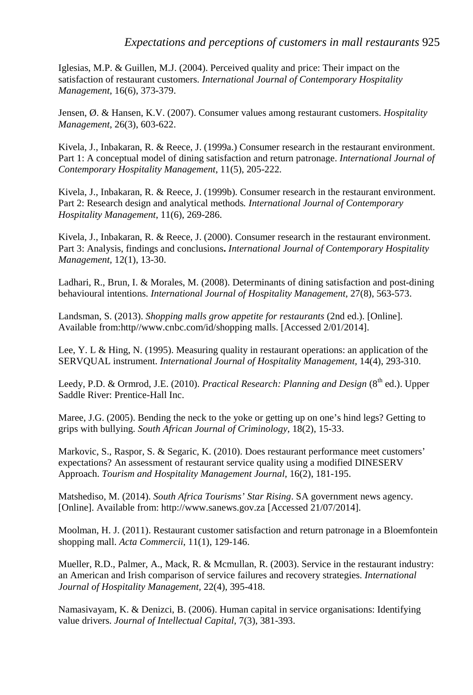Iglesias, M.P. & Guillen, M.J. (2004). Perceived quality and price: Their impact on the satisfaction of restaurant customers. *International Journal of Contemporary Hospitality Management*, 16(6), 373-379.

Jensen, Ø. & Hansen, K.V. (2007). Consumer values among restaurant customers. *Hospitality Management*, 26(3), 603-622.

Kivela, J., Inbakaran, R. & Reece, J. (1999a.) Consumer research in the restaurant environment. Part 1: A conceptual model of dining satisfaction and return patronage. *International Journal of Contemporary Hospitality Management*, 11(5), 205-222.

Kivela, J., Inbakaran, R. & Reece, J. (1999b). Consumer research in the restaurant environment. Part 2: Research design and analytical methods*. International Journal of Contemporary Hospitality Management*, 11(6), 269-286.

Kivela, J., Inbakaran, R. & Reece, J. (2000). Consumer research in the restaurant environment. Part 3: Analysis, findings and conclusions**.** *International Journal of Contemporary Hospitality Management,* 12(1), 13-30.

Ladhari, R., Brun, I. & Morales, M. (2008). Determinants of dining satisfaction and post-dining behavioural intentions. *International Journal of Hospitality Management,* 27(8), 563-573.

Landsman, S. (2013). *Shopping malls grow appetite for restaurants* (2nd ed.). [Online]. Available from:http//www.cnbc.com/id/shopping malls. [Accessed 2/01/2014].

Lee, Y. L & Hing, N. (1995). Measuring quality in restaurant operations: an application of the SERVQUAL instrument. *International Journal of Hospitality Management,* 14(4), 293-310.

Leedy, P.D. & Ormrod, J.E. (2010). *Practical Research: Planning and Design* (8<sup>th</sup> ed.). Upper Saddle River: Prentice-Hall Inc.

Maree, J.G. (2005). Bending the neck to the yoke or getting up on one's hind legs? Getting to grips with bullying. *South African Journal of Criminology*, 18(2), 15-33.

Markovic, S., Raspor, S. & Segaric, K. (2010). Does restaurant performance meet customers' expectations? An assessment of restaurant service quality using a modified DINESERV Approach. *Tourism and Hospitality Management Journal*, 16(2), 181-195.

Matshediso, M. (2014). *South Africa Tourisms' Star Rising*. SA government news agency. [Online]. Available from: [http://www.sanews.gov.za](http://www.sanews.gov.za/) [Accessed 21/07/2014].

Moolman, H. J. (2011). Restaurant customer satisfaction and return patronage in a Bloemfontein shopping mall. *Acta Commercii*, 11(1), 129-146.

Mueller, R.D., Palmer, A., Mack, R. & Mcmullan, R. (2003). Service in the restaurant industry: an American and Irish comparison of service failures and recovery strategies. *International Journal of Hospitality Management,* 22(4), 395-418.

Namasivayam, K. & Denizci, B. (2006). Human capital in service organisations: Identifying value drivers. *Journal of Intellectual Capital,* 7(3), 381-393.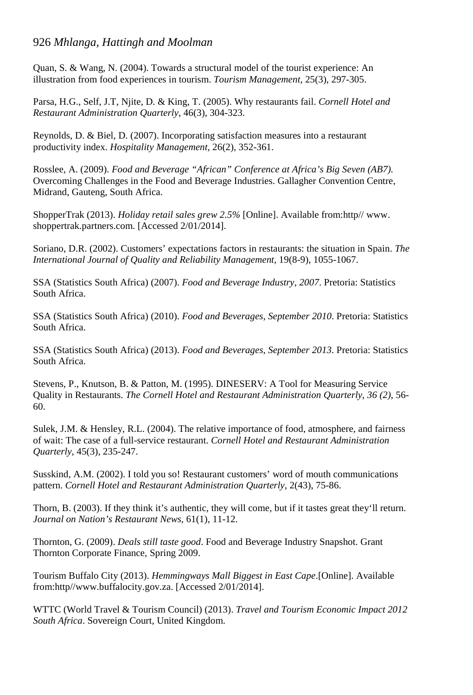Quan, S. & Wang, N. (2004). Towards a structural model of the tourist experience: An illustration from food experiences in tourism. *Tourism Management,* 25(3), 297-305.

Parsa, H.G., Self, J.T, Njite, D. & King, T. (2005). Why restaurants fail. *Cornell Hotel and Restaurant Administration Quarterly*, 46(3), 304-323.

Reynolds, D. & Biel, D. (2007). Incorporating satisfaction measures into a restaurant productivity index. *Hospitality Management,* 26(2), 352-361.

Rosslee, A. (2009). *Food and Beverage "African" Conference at Africa's Big Seven (AB7).* Overcoming Challenges in the Food and Beverage Industries. Gallagher Convention Centre, Midrand, Gauteng, South Africa.

ShopperTrak (2013). *Holiday retail sales grew 2.5%* [Online]. Available from:http// www. shoppertrak.partners.com. [Accessed 2/01/2014].

Soriano, D.R. (2002). Customers' expectations factors in restaurants: the situation in Spain. *The International Journal of Quality and Reliability Management,* 19(8-9), 1055-1067.

SSA (Statistics South Africa) (2007). *Food and Beverage Industry, 2007*. Pretoria: Statistics South Africa.

SSA (Statistics South Africa) (2010). *Food and Beverages, September 2010*. Pretoria: Statistics South Africa.

SSA (Statistics South Africa) (2013). *Food and Beverages, September 2013*. Pretoria: Statistics South Africa.

Stevens, P., Knutson, B. & Patton, M. (1995). DINESERV: A Tool for Measuring Service Quality in Restaurants. *The Cornell Hotel and Restaurant Administration Quarterly, 36 (2),* 56- 60.

Sulek, J.M. & Hensley, R.L. (2004). The relative importance of food, atmosphere, and fairness of wait: The case of a full-service restaurant. *Cornell Hotel and Restaurant Administration Quarterly*, 45(3), 235-247.

Susskind, A.M. (2002). I told you so! Restaurant customers' word of mouth communications pattern. *Cornell Hotel and Restaurant Administration Quarterly*, 2(43), 75-86.

Thorn, B. (2003). If they think it's authentic, they will come, but if it tastes great they'll return. *Journal on Nation's Restaurant News*, 61(1), 11-12.

Thornton, G. (2009). *Deals still taste good*. Food and Beverage Industry Snapshot. Grant Thornton Corporate Finance, Spring 2009.

Tourism Buffalo City (2013). *Hemmingways Mall Biggest in East Cape*.[Online]. Available from:http//www.buffalocity.gov.za. [Accessed 2/01/2014].

WTTC (World Travel & Tourism Council) (2013). *Travel and Tourism Economic Impact 2012 South Africa*. Sovereign Court, United Kingdom.